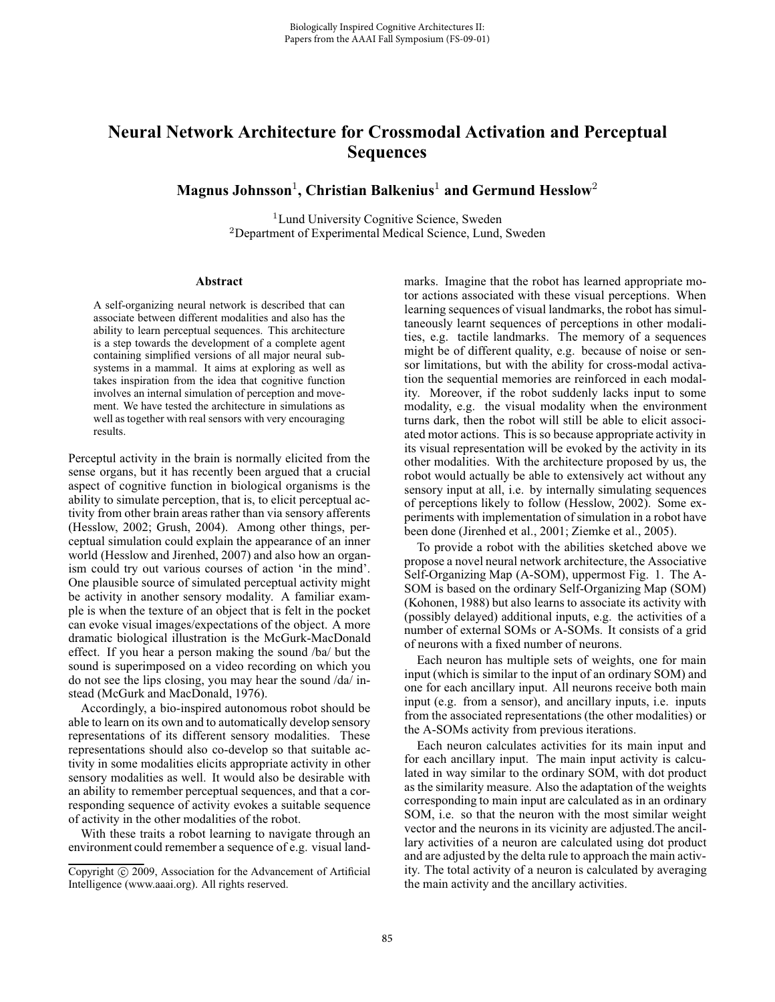## **Neural Network Architecture for Crossmodal Activation and Perceptual Sequences**

**Magnus Johnsson**<sup>1</sup>**, Christian Balkenius**<sup>1</sup> **and Germund Hesslow**<sup>2</sup>

<sup>1</sup>Lund University Cognitive Science, Sweden <sup>2</sup>Department of Experimental Medical Science, Lund, Sweden

## **Abstract**

A self-organizing neural network is described that can associate between different modalities and also has the ability to learn perceptual sequences. This architecture is a step towards the development of a complete agent containing simplified versions of all major neural subsystems in a mammal. It aims at exploring as well as takes inspiration from the idea that cognitive function involves an internal simulation of perception and movement. We have tested the architecture in simulations as well as together with real sensors with very encouraging results.

Perceptul activity in the brain is normally elicited from the sense organs, but it has recently been argued that a crucial aspect of cognitive function in biological organisms is the ability to simulate perception, that is, to elicit perceptual activity from other brain areas rather than via sensory afferents (Hesslow, 2002; Grush, 2004). Among other things, perceptual simulation could explain the appearance of an inner world (Hesslow and Jirenhed, 2007) and also how an organism could try out various courses of action 'in the mind'. One plausible source of simulated perceptual activity might be activity in another sensory modality. A familiar example is when the texture of an object that is felt in the pocket can evoke visual images/expectations of the object. A more dramatic biological illustration is the McGurk-MacDonald effect. If you hear a person making the sound /ba/ but the sound is superimposed on a video recording on which you do not see the lips closing, you may hear the sound /da/ instead (McGurk and MacDonald, 1976).

Accordingly, a bio-inspired autonomous robot should be able to learn on its own and to automatically develop sensory representations of its different sensory modalities. These representations should also co-develop so that suitable activity in some modalities elicits appropriate activity in other sensory modalities as well. It would also be desirable with an ability to remember perceptual sequences, and that a corresponding sequence of activity evokes a suitable sequence of activity in the other modalities of the robot.

With these traits a robot learning to navigate through an environment could remember a sequence of e.g. visual landmarks. Imagine that the robot has learned appropriate motor actions associated with these visual perceptions. When learning sequences of visual landmarks, the robot has simultaneously learnt sequences of perceptions in other modalities, e.g. tactile landmarks. The memory of a sequences might be of different quality, e.g. because of noise or sensor limitations, but with the ability for cross-modal activation the sequential memories are reinforced in each modality. Moreover, if the robot suddenly lacks input to some modality, e.g. the visual modality when the environment turns dark, then the robot will still be able to elicit associated motor actions. This is so because appropriate activity in its visual representation will be evoked by the activity in its other modalities. With the architecture proposed by us, the robot would actually be able to extensively act without any sensory input at all, i.e. by internally simulating sequences of perceptions likely to follow (Hesslow, 2002). Some experiments with implementation of simulation in a robot have been done (Jirenhed et al., 2001; Ziemke et al., 2005).

To provide a robot with the abilities sketched above we propose a novel neural network architecture, the Associative Self-Organizing Map (A-SOM), uppermost Fig. 1. The A-SOM is based on the ordinary Self-Organizing Map (SOM) (Kohonen, 1988) but also learns to associate its activity with (possibly delayed) additional inputs, e.g. the activities of a number of external SOMs or A-SOMs. It consists of a grid of neurons with a fixed number of neurons.

Each neuron has multiple sets of weights, one for main input (which is similar to the input of an ordinary SOM) and one for each ancillary input. All neurons receive both main input (e.g. from a sensor), and ancillary inputs, i.e. inputs from the associated representations (the other modalities) or the A-SOMs activity from previous iterations.

Each neuron calculates activities for its main input and for each ancillary input. The main input activity is calculated in way similar to the ordinary SOM, with dot product as the similarity measure. Also the adaptation of the weights corresponding to main input are calculated as in an ordinary SOM, i.e. so that the neuron with the most similar weight vector and the neurons in its vicinity are adjusted.The ancillary activities of a neuron are calculated using dot product and are adjusted by the delta rule to approach the main activity. The total activity of a neuron is calculated by averaging the main activity and the ancillary activities.

Copyright © 2009, Association for the Advancement of Artificial Intelligence (www.aaai.org). All rights reserved.